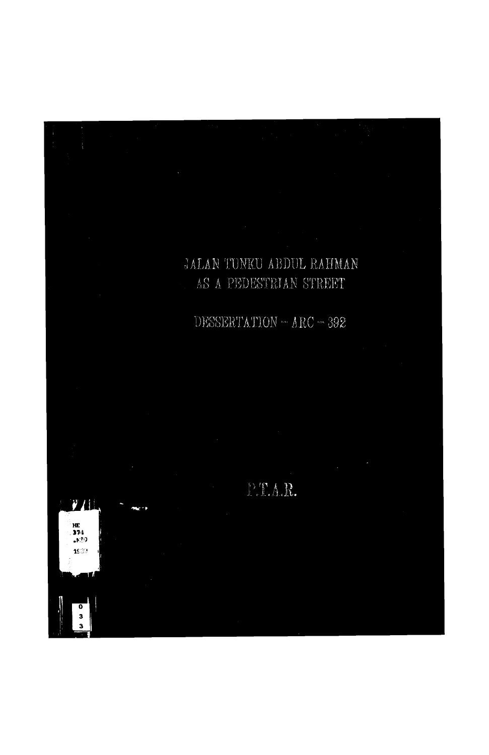# JALAN TUNKU ABDUL RAHMAN AS A PEDESTRIAN STREET

## DESSERTATION - ARC - 392



PTAR.

 $\mathcal{V}I$ 

 $HE$  $374$  $E39$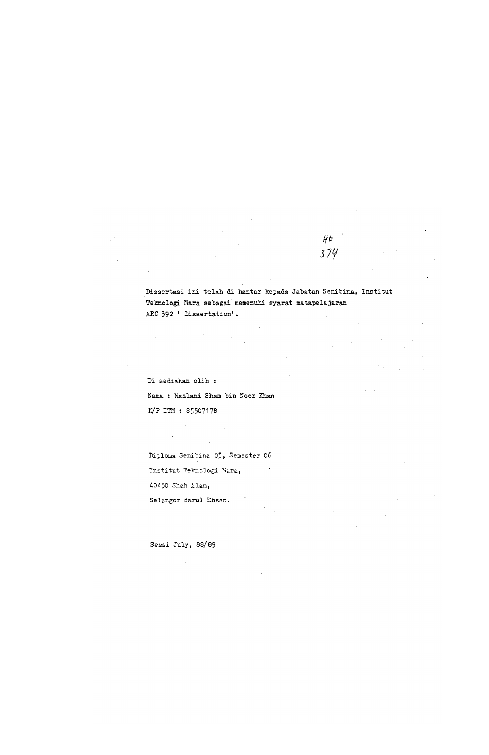**Dissertas i in i tela h d i hanta r kepad a Jabata n Senibina , Institu t Teknolog i Kar a sebaga i meaenuh i syara t matapelajara n ARC 392 ' Dissertation' .** 

 $H \in$ 

374

**D i sedial^a n oli h : Nama : Mazlani Sham bin Noor Khan I^P ITM : 85507178** 

**Diplom a Senibin a 03, Semeste r 06**  Institut **Teknologi** Mara, **40450 Sha h Alam , Selango r daru l Ehsan .** 

 $\sim$ 

 $\sim$ 

 $\label{eq:2.1} \mathcal{L}(\mathcal{L}^{\text{max}}_{\mathcal{L}}(\mathcal{L}^{\text{max}}_{\mathcal{L}}),\mathcal{L}^{\text{max}}_{\mathcal{L}}(\mathcal{L}^{\text{max}}_{\mathcal{L}}))$ 

 $\mathcal{L}^{\mathcal{L}}(\mathcal{L}^{\mathcal{L}})$  and  $\mathcal{L}^{\mathcal{L}}(\mathcal{L}^{\mathcal{L}})$  and  $\mathcal{L}^{\mathcal{L}}(\mathcal{L}^{\mathcal{L}})$  and  $\mathcal{L}^{\mathcal{L}}(\mathcal{L}^{\mathcal{L}})$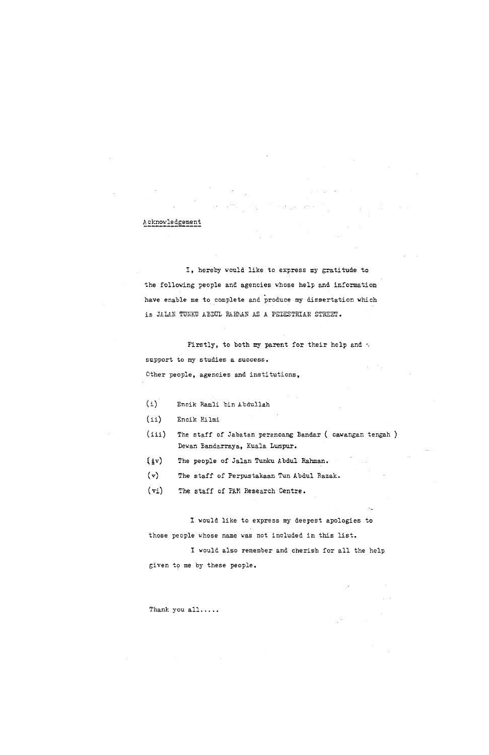#### **A cknovl e dgemen t**

**I , hereb y woul d lik e t o expres s my gratitud e t o t h e followin g peopl e an d agencie s whos e hel p and informatio n**  have enable me to complete and produce my dissertation which is JALAN TUNKU AEDUL RAHMAN AS A PEDESTRIAN STREET.

Firstly, to both my parent for their help and  $\leq$ support to my studies a success. **Othe r people , agencie s and institutions ,** 

**( i ) Enci k P^ml i bi n Abdulla h** 

**(ii ) Enci k Eilm i** 

- **(iii ) The staf f o f Jabata n perancan g Banda r ( cawanga n tenga h ) Dewan Bandarraya , Kual a Lumpur .**
- **(jv ) The peopl e o f Jala n Tunku Abdu l Rahman.**
- **( v ) The staf f o f Perpustakaa n Tun Abdu l Razak .**
- **(vi ) The staf f o f PAM Researc h Centre .**

**I woul d lik e t o expres s my deepes t apologie s t o thos e peopl e whos e name wa s no t include d i n thi s list .** 

**I woul d als o remembe r an d cheris h fo r al l th e hel p** 

#### **give n t o me b y thes e people .**

 $\sim 10^{-10}$ 

#### Thank you all.....

 $\sim 100$  $\mathcal{L}^{\text{max}}_{\text{max}}$  and  $\mathcal{L}^{\text{max}}_{\text{max}}$  $\Delta \phi$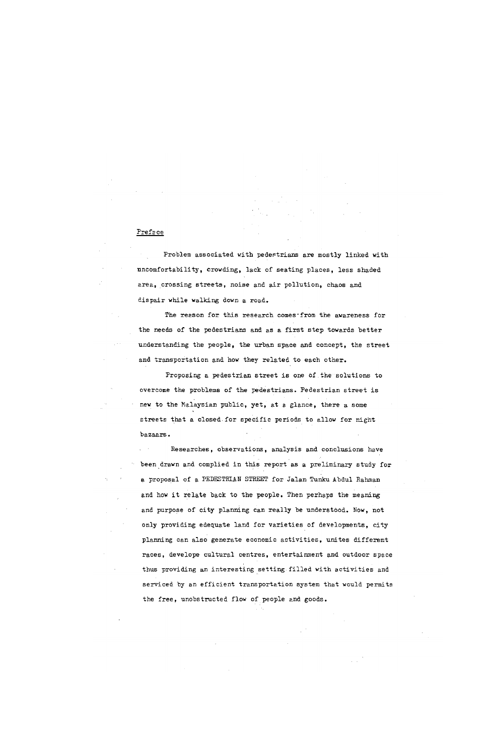#### **Prefac e**

**Proble m associate d wit h pedestrian s ar e mostl y linke d wit h nncomfortability , crowding , lac k o f seatin g places , les s shade d area , crossin g streets , nois e and ea r pollution , chao s an d dispai r whil e walkin g down a road .** 

The reason for this research comes-from the awareness for **t h e need s o f th e pedestrian s and a s a firs t ste p toward s bette r understandin g th e people , th e urba n spac e an d concept , th e stree t**  and transportation and how they related to each other.

**Proposin g a pedestria n stree t i s one 6 f th e solution s t o overcom e th e problem s o f th e pedestrians . Pedestria n stree t i s new t o th e Malaysia n public , yet , a t a glance , ther e a some street s tha t a closed.fo r specifi c period s t o allo w fo r nigh t bazaars .** 

 $Resexches$ , observations, analysis and conclusions have **bee n drawn an d complied i n thi s repor t a s a preliminar y stud y fo r a proposa l o f a PEDESTRIAN STREET fo r Jala n Tunku Abdu l Rahman**  and how it relate back to the people. Then perhaps the meaning and purpose of city planning can really be understood. Now, not **onl y providin g edequat e lan d fo r varietie s o f developments , cit y plannin g ca n als o generat e economi c activities , unite s differen t**   $r$ aces, develope cultural centres, entertainment and outdoor sp thus providing an interesting setting filled with activities and **service d by an efficien t transportatio n syste m tha t woul d permit s** 

**t h e free , unobstructe d flo w o f peopl e and goods .**